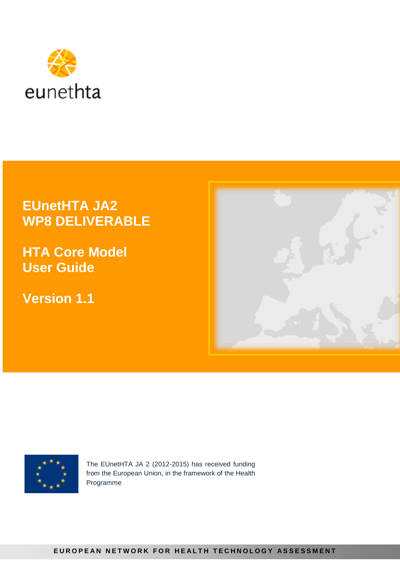

# **EUnetHTA JA2 WP8 DELIVERABLE**

**HTA Core Model User Guide**

**Version 1.1**





The EUnetHTA JA 2 (2012-2015) has received funding from the European Union, in the framework of the Health Programme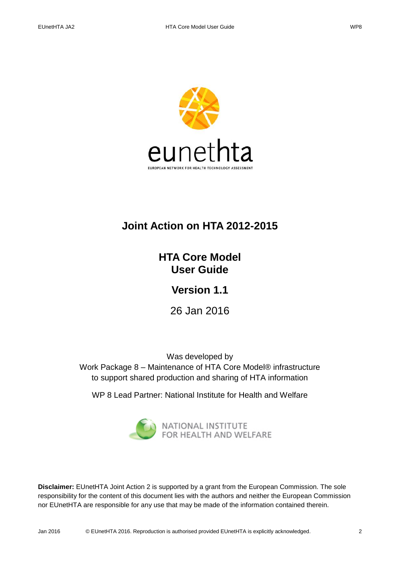

# **Joint Action on HTA 2012-2015**

**HTA Core Model User Guide**

**Version 1.1**

26 Jan 2016

Was developed by Work Package 8 – Maintenance of HTA Core Model® infrastructure to support shared production and sharing of HTA information

WP 8 Lead Partner: National Institute for Health and Welfare



**Disclaimer:** EUnetHTA Joint Action 2 is supported by a grant from the European Commission. The sole responsibility for the content of this document lies with the authors and neither the European Commission nor EUnetHTA are responsible for any use that may be made of the information contained therein.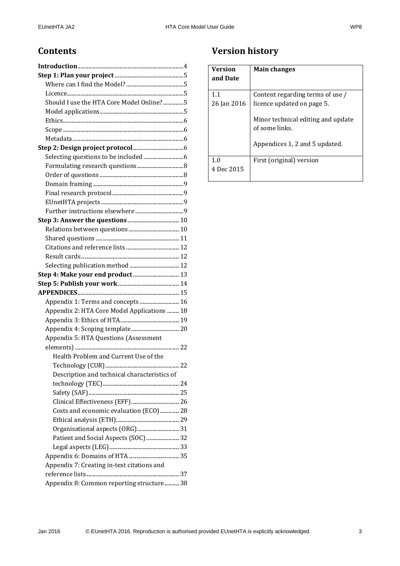### **Contents**

| Should I use the HTA Core Model Online?5     |  |
|----------------------------------------------|--|
|                                              |  |
|                                              |  |
|                                              |  |
|                                              |  |
|                                              |  |
|                                              |  |
|                                              |  |
|                                              |  |
|                                              |  |
|                                              |  |
|                                              |  |
|                                              |  |
|                                              |  |
|                                              |  |
|                                              |  |
|                                              |  |
|                                              |  |
|                                              |  |
|                                              |  |
|                                              |  |
|                                              |  |
| Appendix 1: Terms and concepts 16            |  |
| Appendix 2: HTA Core Model Applications  18  |  |
|                                              |  |
|                                              |  |
| Appendix 5: HTA Questions (Assessment        |  |
|                                              |  |
| Health Problem and Current Use of the        |  |
|                                              |  |
| Description and technical characteristics of |  |
|                                              |  |
|                                              |  |
|                                              |  |
| Costs and economic evaluation (ECO)  28      |  |
|                                              |  |
| Organisational aspects (ORG)31               |  |
| Patient and Social Aspects (SOC)  32         |  |
|                                              |  |
| Appendix 7: Creating in-text citations and   |  |
|                                              |  |
| Appendix 8: Common reporting structure 38    |  |
|                                              |  |

# **Version history**

| Version<br>and Date | <b>Main changes</b>                                  |
|---------------------|------------------------------------------------------|
| 1.1                 | Content regarding terms of use /                     |
| 26 Jan 2016         | licence updated on page 5.                           |
|                     | Minor technical editing and update<br>of some links. |
|                     | Appendices 1, 2 and 5 updated.                       |
| 1.0                 | First (original) version                             |
| 4 Dec 2015          |                                                      |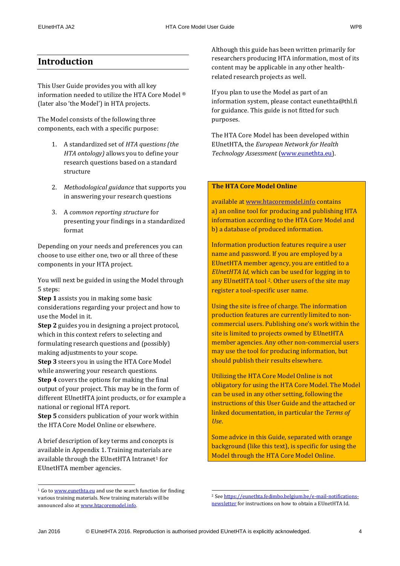### <span id="page-3-0"></span>**Introduction**

This User Guide provides you with all key information needed to utilize the HTA Core Model ® (later also 'the Model') in HTA projects.

The Model consists of the following three components, each with a specific purpose:

- 1. A standardized set of *HTA questions (the HTA ontology)* allows you to define your research questions based on a standard structure
- 2. *Methodological guidance* that supports you in answering your research questions
- 3. A *common reporting structure* for presenting your findings in a standardized format

Depending on your needs and preferences you can choose to use either one, two or all three of these components in your HTA project.

You will next be guided in using the Model through 5 steps:

**Step 1** assists you in making some basic considerations regarding your project and how to use the Model in it.

**Step 2** guides you in designing a project protocol, which in this context refers to selecting and formulating research questions and (possibly) making adjustments to your scope.

**Step 3** steers you in using the HTA Core Model while answering your research questions.

**Step 4** covers the options for making the final output of your project. This may be in the form of different EUnetHTA joint products, or for example a national or regional HTA report.

**Step 5** considers publication of your work within the HTA Core Model Online or elsewhere.

A brief description of key terms and concepts is available in Appendix 1. Training materials are available through the EUnetHTA Intranet<sup>1</sup> for EUnetHTA member agencies.

1

Although this guide has been written primarily for researchers producing HTA information, most of its content may be applicable in any other healthrelated research projects as well.

If you plan to use the Model as part of an information system, please contact [eunethta@thl.fi](mailto:eunethta@thl.fi) for guidance. This guide is not fitted for such purposes.

The HTA Core Model has been developed within EUnetHTA, the *European Network for Health Technology Assessment* [\(www.eunethta.eu\)](http://www.eunethta.eu/).

#### **The HTA Core Model Online**

available at [www.htacoremodel.info](http://www.htacoremodel.info/) contains a) an online tool for producing and publishing HTA information according to the HTA Core Model and b) a database of produced information.

Information production features require a user name and password. If you are employed by a EUnetHTA member agency, you are entitled to a *EUnetHTA Id*, which can be used for logging in to any EUnetHTA tool <sup>2</sup>. Other users of the site may register a tool-specific user name.

Using the site is free of charge. The information production features are currently limited to noncommercial users. Publishing one's work within the site is limited to projects owned by EUnetHTA member agencies. Any other non-commercial users may use the tool for producing information, but should publish their results elsewhere.

Utilizing the HTA Core Model Online is not obligatory for using the HTA Core Model. The Model can be used in any other setting, following the instructions of this User Guide and the attached or linked documentation, in particular the *Terms of Use*.

Some advice in this Guide, separated with orange background (like this text), is specific for using the Model through the HTA Core Model Online.

1

<sup>&</sup>lt;sup>1</sup> Go to [www.eunethta.eu](http://www.eunethta.eu/) and use the search function for finding various training materials. New training materials will be announced also at [www.htacoremodel.info.](http://www.htacoremodel.info/)

<sup>2</sup> See [https://eunethta.fedimbo.belgium.be/e-mail-notifications](https://eunethta.fedimbo.belgium.be/e-mail-notifications-newsletter)[newsletter](https://eunethta.fedimbo.belgium.be/e-mail-notifications-newsletter) for instructions on how to obtain a EUnetHTA Id.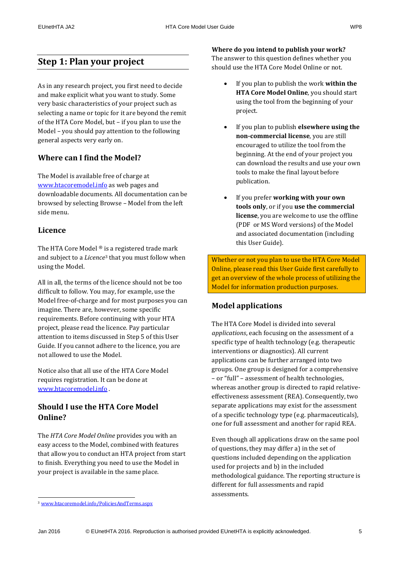### <span id="page-4-0"></span>**Step 1: Plan your project**

As in any research project, you first need to decide and make explicit what you want to study. Some very basic characteristics of your project such as selecting a name or topic for it are beyond the remit of the HTA Core Model, but – if you plan to use the Model – you should pay attention to the following general aspects very early on.

### <span id="page-4-1"></span>**Where can I find the Model?**

The Model is available free of charge at [www.htacoremodel.info](http://www.htacoremodel.info/) as web pages and downloadable documents. All documentation can be browsed by selecting Browse – Model from the left side menu.

### <span id="page-4-2"></span>**Licence**

The HTA Core Model ® is a registered trade mark and subject to a *Licence*<sup>3</sup> that you must follow when using the Model.

All in all, the terms of the licence should not be too difficult to follow. You may, for example, use the Model free-of-charge and for most purposes you can imagine. There are, however, some specific requirements. Before continuing with your HTA project, please read the licence. Pay particular attention to items discussed in Step 5 of this User Guide. If you cannot adhere to the licence, you are not allowed to use the Model.

Notice also that all use of the HTA Core Model requires registration. It can be done at [www.htacoremodel.info](http://www.htacoremodel.info/) .

### <span id="page-4-3"></span>**Should I use the HTA Core Model Online?**

The *HTA Core Model Online* provides you with an easy access to the Model, combined with features that allow you to conduct an HTA project from start to finish. Everything you need to use the Model in your project is available in the same place.

.

**Where do you intend to publish your work?** The answer to this question defines whether you should use the HTA Core Model Online or not.

- If you plan to publish the work **within the HTA Core Model Online**, you should start using the tool from the beginning of your project.
- If you plan to publish **elsewhere using the non-commercial license**, you are still encouraged to utilize the tool from the beginning. At the end of your project you can download the results and use your own tools to make the final layout before publication.
- If you prefer **working with your own tools only**, or if you **use the commercial license**, you are welcome to use the offline (PDF or MS Word versions) of the Model and associated documentation (including this User Guide).

Whether or not you plan to use the HTA Core Model Online, please read this User Guide first carefully to get an overview of the whole process of utilizing the Model for information production purposes.

### <span id="page-4-4"></span>**Model applications**

The HTA Core Model is divided into several *applications*, each focusing on the assessment of a specific type of health technology (e.g. therapeutic interventions or diagnostics). All current applications can be further arranged into two groups. One group is designed for a comprehensive – or "full" – assessment of health technologies, whereas another group is directed to rapid relativeeffectiveness assessment (REA). Consequently, two separate applications may exist for the assessment of a specific technology type (e.g. pharmaceuticals), one for full assessment and another for rapid REA.

Even though all applications draw on the same pool of questions, they may differ a) in the set of questions included depending on the application used for projects and b) in the included methodological guidance. The reporting structure is different for full assessments and rapid assessments.

<sup>3</sup> [www.htacoremodel.info/PoliciesAndTerms.aspx](http://www.htacoremodel.info/PoliciesAndTerms.aspx)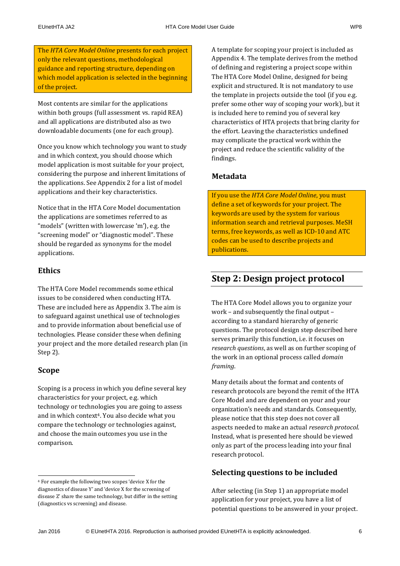The *HTA Core Model Online* presents for each project only the relevant questions, methodological guidance and reporting structure, depending on which model application is selected in the beginning of the project.

Most contents are similar for the applications within both groups (full assessment vs. rapid REA) and all applications are distributed also as two downloadable documents (one for each group).

Once you know which technology you want to study and in which context, you should choose which model application is most suitable for your project, considering the purpose and inherent limitations of the applications. See Appendix 2 for a list of model applications and their key characteristics.

Notice that in the HTA Core Model documentation the applications are sometimes referred to as "models" (written with lowercase 'm'), e.g. the "screening model" or "diagnostic model". These should be regarded as synonyms for the model applications.

### <span id="page-5-0"></span>**Ethics**

The HTA Core Model recommends some ethical issues to be considered when conducting HTA. These are included here as Appendix 3. The aim is to safeguard against unethical use of technologies and to provide information about beneficial use of technologies. Please consider these when defining your project and the more detailed research plan (in Step 2).

### <span id="page-5-1"></span>**Scope**

Scoping is a process in which you define several key characteristics for your project, e.g. which technology or technologies you are going to assess and in which context<sup>4</sup>. You also decide what you compare the technology or technologies against, and choose the main outcomes you use in the comparison.

A template for scoping your project is included as Appendix 4. The template derives from the method of defining and registering a project scope within The HTA Core Model Online, designed for being explicit and structured. It is not mandatory to use the template in projects outside the tool (if you e.g. prefer some other way of scoping your work), but it is included here to remind you of several key characteristics of HTA projects that bring clarity for the effort. Leaving the characteristics undefined may complicate the practical work within the project and reduce the scientific validity of the findings.

### <span id="page-5-2"></span>**Metadata**

If you use the *HTA Core Model Online*, you must define a set of keywords for your project. The keywords are used by the system for various information search and retrieval purposes. MeSH terms, free keywords, as well as ICD-10 and ATC codes can be used to describe projects and publications.

### <span id="page-5-3"></span>**Step 2: Design project protocol**

The HTA Core Model allows you to organize your work – and subsequently the final output – according to a standard hierarchy of generic questions. The protocol design step described here serves primarily this function, i.e. it focuses on *research questions*, as well as on further scoping of the work in an optional process called *domain framing*.

Many details about the format and contents of research protocols are beyond the remit of the HTA Core Model and are dependent on your and your organization's needs and standards. Consequently, please notice that this step does not cover all aspects needed to make an actual *research protocol*. Instead, what is presented here should be viewed only as part of the process leading into your final research protocol.

### <span id="page-5-4"></span>**Selecting questions to be included**

After selecting (in Step 1) an appropriate model application for your project, you have a list of potential questions to be answered in your project.

1

<sup>4</sup> For example the following two scopes 'device X for the diagnostics of disease Y' and 'device X for the screening of disease Z' share the same technology, but differ in the setting (diagnostics vs screening) and disease.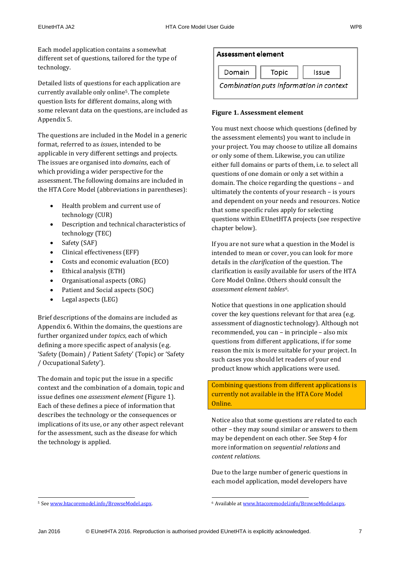Each model application contains a somewhat different set of questions, tailored for the type of technology.

Detailed lists of questions for each application are currently available only online5. The complete question lists for different domains, along with some relevant data on the questions, are included as Appendix 5.

The questions are included in the Model in a generic format, referred to as *issues*, intended to be applicable in very different settings and projects. The issues are organised into *domains*, each of which providing a wider perspective for the assessment. The following domains are included in the HTA Core Model (abbreviations in parentheses):

- Health problem and current use of technology (CUR)
- Description and technical characteristics of technology (TEC)
- Safety (SAF)
- Clinical effectiveness (EFF)
- Costs and economic evaluation (ECO)
- Ethical analysis (ETH)
- Organisational aspects (ORG)
- Patient and Social aspects (SOC)
- Legal aspects (LEG)

Brief descriptions of the domains are included as Appendix 6. Within the domains, the questions are further organized under *topics*, each of which defining a more specific aspect of analysis (e.g. 'Safety (Domain) / Patient Safety' (Topic) or 'Safety / Occupational Safety').

The domain and topic put the issue in a specific context and the combination of a domain, topic and issue defines one *assessment element* (Figure 1). Each of these defines a piece of information that describes the technology or the consequences or implications of its use, or any other aspect relevant for the assessment, such as the disease for which the technology is applied.

### Assessment element Domain Topic Issue Combination puts information in context

#### **Figure 1. Assessment element**

You must next choose which questions (defined by the assessment elements) you want to include in your project. You may choose to utilize all domains or only some of them. Likewise, you can utilize either full domains or parts of them, i.e. to select all questions of one domain or only a set within a domain. The choice regarding the questions – and ultimately the contents of your research – is yours and dependent on your needs and resources. Notice that some specific rules apply for selecting questions within EUnetHTA projects (see respective chapter below).

If you are not sure what a question in the Model is intended to mean or cover, you can look for more details in the *clarification* of the question. The clarification is easily available for users of the HTA Core Model Online. Others should consult the *assessment element tables6*.

Notice that questions in one application should cover the key questions relevant for that area (e.g. assessment of diagnostic technology). Although not recommended, you can – in principle – also mix questions from different applications, if for some reason the mix is more suitable for your project. In such cases you should let readers of your end product know which applications were used.

Combining questions from different applications is currently not available in the HTA Core Model Online.

Notice also that some questions are related to each other – they may sound similar or answers to them may be dependent on each other. See Step 4 for more information on *sequential relations* and *content relations.*

Due to the large number of generic questions in each model application, model developers have

.

.

<sup>5</sup> See [www.htacoremodel.info/BrowseModel.aspx.](http://www.htacoremodel.info/BrowseModel.aspx) 

<sup>6</sup> Available at [www.htacoremodel.info/BrowseModel.aspx.](http://www.htacoremodel.info/BrowseModel.aspx)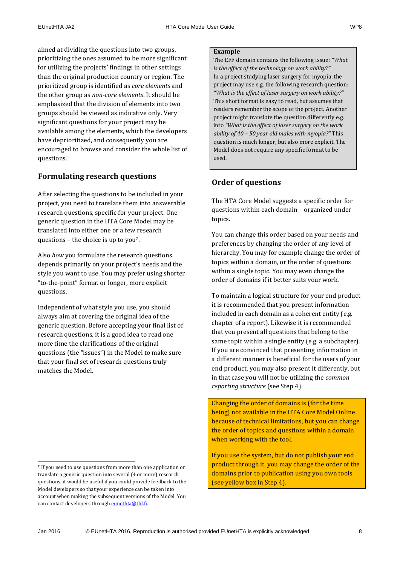aimed at dividing the questions into two groups, prioritizing the ones assumed to be more significant for utilizing the projects' findings in other settings than the original production country or region. The prioritized group is identified as *core elements* and the other group as *non-core elements*. It should be emphasized that the division of elements into two groups should be viewed as indicative only. Very significant questions for your project may be available among the elements, which the developers have deprioritized, and consequently you are encouraged to browse and consider the whole list of questions.

### <span id="page-7-0"></span>**Formulating research questions**

After selecting the questions to be included in your project, you need to translate them into answerable research questions, specific for your project. One generic question in the HTA Core Model may be translated into either one or a few research questions – the choice is up to you7.

Also *how* you formulate the research questions depends primarily on your project's needs and the style you want to use. You may prefer using shorter "to-the-point" format or longer, more explicit questions.

Independent of what style you use, you should always aim at covering the original idea of the generic question. Before accepting your final list of research questions, it is a good idea to read one more time the clarifications of the original questions (the "issues") in the Model to make sure that your final set of research questions truly matches the Model.

#### **Example**

The EFF domain contains the following issue: *"What is the effect of the technology on work ability?"* In a project studying laser surgery for myopia, the project may use e.g. the following research question: *"What is the effect of laser surgery on work ability?"* This short format is easy to read, but assumes that readers remember the scope of the project. Another project might translate the question differently e.g. into *"What is the effect of laser surgery on the work ability of 40 – 50 year old males with myopia?"* This question is much longer, but also more explicit. The Model does not require any specific format to be used.

### <span id="page-7-1"></span>**Order of questions**

The HTA Core Model suggests a specific order for questions within each domain – organized under topics.

You can change this order based on your needs and preferences by changing the order of any level of hierarchy. You may for example change the order of topics within a domain, or the order of questions within a single topic. You may even change the order of domains if it better suits your work.

To maintain a logical structure for your end product it is recommended that you present information included in each domain as a coherent entity (e.g. chapter of a report). Likewise it is recommended that you present all questions that belong to the same topic within a single entity (e.g. a subchapter). If you are convinced that presenting information in a different manner is beneficial for the users of your end product, you may also present it differently, but in that case you will not be utilizing the *common reporting structure* (see Step 4).

Changing the order of domains is (for the time being) not available in the HTA Core Model Online because of technical limitations, but you can change the order of topics and questions within a domain when working with the tool.

If you use the system, but do not publish your end product through it, you may change the order of the domains prior to publication using you own tools (see yellow box in Step 4).

.

<sup>7</sup> If you need to use questions from more than one application or translate a generic question into several (4 or more) research questions, it would be useful if you could provide feedback to the Model developers so that your experience can be taken into account when making the subsequent versions of the Model. You can contact developers through eunethta@thl.fi.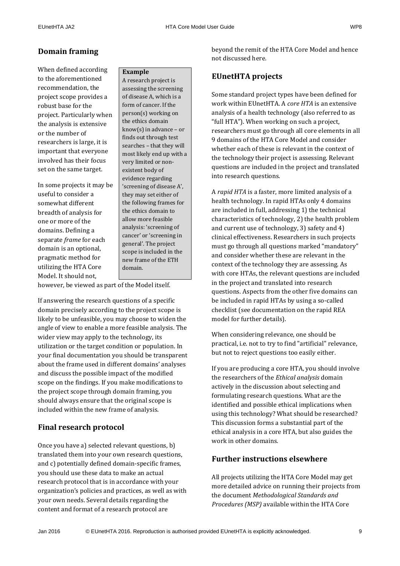### <span id="page-8-0"></span>**Domain framing**

When defined according to the aforementioned recommendation, the project scope provides a robust base for the project. Particularly when the analysis is extensive or the number of researchers is large, it is important that everyone involved has their focus set on the same target.

In some projects it may be useful to consider a somewhat different breadth of analysis for one or more of the domains. Defining a separate *frame* for each domain is an optional, pragmatic method for utilizing the HTA Core Model. It should not,

#### **Example**

A research project is assessing the screening of disease A, which is a form of cancer. If the person(s) working on the ethics domain know(s) in advance – or finds out through test searches – that they will most likely end up with a very limited or nonexistent body of evidence regarding 'screening of disease A', they may set either of the following frames for the ethics domain to allow more feasible analysis: 'screening of cancer' or 'screening in general'. The project scope is included in the new frame of the ETH domain.

however, be viewed as part of the Model itself.

If answering the research questions of a specific domain precisely according to the project scope is likely to be unfeasible, you may choose to widen the angle of view to enable a more feasible analysis. The wider view may apply to the technology, its utilization or the target condition or population. In your final documentation you should be transparent about the frame used in different domains' analyses and discuss the possible impact of the modified scope on the findings. If you make modifications to the project scope through domain framing, you should always ensure that the original scope is included within the new frame of analysis.

### <span id="page-8-1"></span>**Final research protocol**

Once you have a) selected relevant questions, b) translated them into your own research questions, and c) potentially defined domain-specific frames, you should use these data to make an actual research protocol that is in accordance with your organization's policies and practices, as well as with your own needs. Several details regarding the content and format of a research protocol are

beyond the remit of the HTA Core Model and hence not discussed here.

#### <span id="page-8-2"></span>**EUnetHTA projects**

Some standard project types have been defined for work within EUnetHTA. A *core HTA* is an extensive analysis of a health technology (also referred to as "full HTA"). When working on such a project, researchers must go through all core elements in all 9 domains of the HTA Core Model and consider whether each of these is relevant in the context of the technology their project is assessing. Relevant questions are included in the project and translated into research questions.

A *rapid HTA* is a faster, more limited analysis of a health technology. In rapid HTAs only 4 domains are included in full, addressing 1) the technical characteristics of technology, 2) the health problem and current use of technology, 3) safety and 4) clinical effectiveness. Researchers in such projects must go through all questions marked "mandatory" and consider whether these are relevant in the context of the technology they are assessing. As with core HTAs, the relevant questions are included in the project and translated into research questions. Aspects from the other five domains can be included in rapid HTAs by using a so-called checklist (see documentation on the rapid REA model for further details).

When considering relevance, one should be practical, i.e. not to try to find "artificial" relevance, but not to reject questions too easily either.

If you are producing a core HTA, you should involve the researchers of the *Ethical analysis* domain actively in the discussion about selecting and formulating research questions. What are the identified and possible ethical implications when using this technology? What should be researched? This discussion forms a substantial part of the ethical analysis in a core HTA, but also guides the work in other domains.

### <span id="page-8-3"></span>**Further instructions elsewhere**

All projects utilizing the HTA Core Model may get more detailed advice on running their projects from the document *Methodological Standards and Procedures (MSP)* available within the HTA Core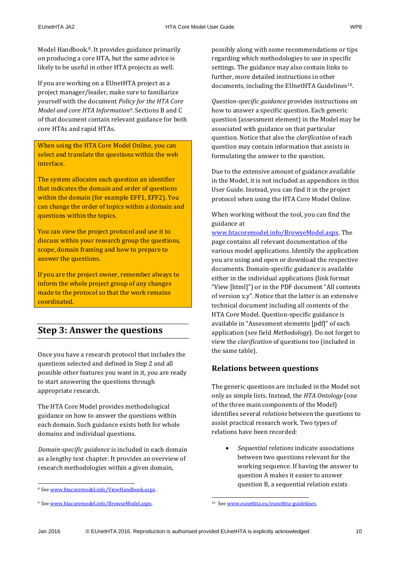Model Handbook. <sup>8</sup>. It provides guidance primarily on producing a core HTA, but the same advice is likely to be useful in other HTA projects as well.

If you are working on a EUnetHTA project as a project manager/leader, make sure to familiarize yourself with the document *Policy for the HTA Core Model and core HTA Information9*. Sections B and C of that document contain relevant guidance for both core HTAs and rapid HTAs.

When using the HTA Core Model Online, you can select and translate the questions within the web interface.

The system allocates each question an identifier that indicates the domain and order of questions within the domain (for example EFF1, EFF2). You can change the order of topics within a domain and questions within the topics.

You can view the project protocol and use it to discuss within your research group the questions, scope, domain framing and how to prepare to answer the questions.

If you are the project owner, remember always to inform the whole project group of any changes made to the protocol so that the work remains coordinated.

## <span id="page-9-0"></span>**Step 3: Answer the questions**

Once you have a research protocol that includes the questions selected and defined in Step 2 and all possible other features you want in it, you are ready to start answering the questions through appropriate research.

The HTA Core Model provides methodological guidance on how to answer the questions within each domain. Such guidance exists both for whole domains and individual questions.

*Domain-specific guidance* is included in each domain as a lengthy text chapter. It provides an overview of research methodologies within a given domain,

possibly along with some recommendations or tips regarding which methodologies to use in specific settings. The guidance may also contain links to further, more detailed instructions in other documents, including the EUnetHTA Guidelines<sup>10</sup>.

*Question-specific guidance* provides instructions on how to answer a specific question. Each generic question (assessment element) in the Model may be associated with guidance on that particular question. Notice that also the *clarification* of each question may contain information that assists in formulating the answer to the question.

Due to the extensive amount of guidance available in the Model, it is not included as appendices in this User Guide. Instead, you can find it in the project protocol when using the HTA Core Model Online.

When working without the tool, you can find the guidance at

[www.htacoremodel.info/BrowseModel.aspx.](http://www.htacoremodel.info/BrowseModel.aspx) The page contains all relevant documentation of the various model applications. Identify the application you are using and open or download the respective documents. Domain-specific guidance is available either in the individual applications (link format "View [html]") or in the PDF document "All contents of version x.y". Notice that the latter is an extensive technical document including all contents of the HTA Core Model. Question-specific guidance is available in "Assessment elements [pdf]" of each application (see field *Methodology*). Do not forget to view the *clarification* of questions too (included in the same table).

### <span id="page-9-1"></span>**Relations between questions**

The generic questions are included in the Model not only as simple lists. Instead, the *HTA Ontology* (one of the three main components of the Model) identifies several *relations* between the questions to assist practical research work. Two types of relations have been recorded:

 *Sequential relations* indicate associations between two questions relevant for the working sequence. If having the answer to question A makes it easier to answer question B, a sequential relation exists

.

<sup>1</sup> 8 Se[e www.htacoremodel.info/ViewHandbook.aspx](http://www.htacoremodel.info/ViewHandbook.aspx).

<sup>9</sup> See [www.htacoremodel.info/BrowseModel.aspx.](http://www.htacoremodel.info/BrowseModel.aspx) 

<sup>10</sup> Se[e www.eunethta.eu/eunethta-guidelines.](http://www.eunethta.eu/eunethta-guidelines)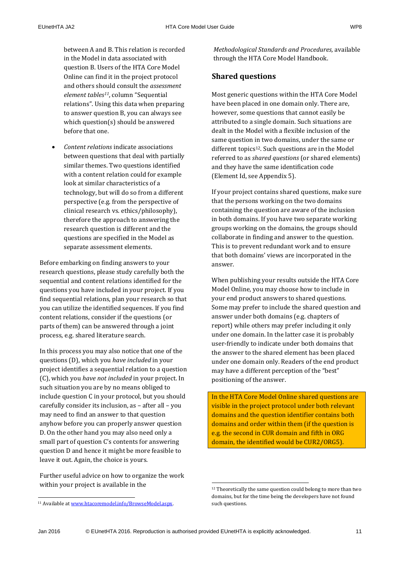between A and B. This relation is recorded in the Model in data associated with question B. Users of the HTA Core Model Online can find it in the project protocol and others should consult the *assessment element tables11*, column "Sequential relations". Using this data when preparing to answer question B, you can always see which question(s) should be answered before that one.

 *Content relations* indicate associations between questions that deal with partially similar themes. Two questions identified with a content relation could for example look at similar characteristics of a technology, but will do so from a different perspective (e.g. from the perspective of clinical research vs. ethics/philosophy), therefore the approach to answering the research question is different and the questions are specified in the Model as separate assessment elements.

Before embarking on finding answers to your research questions, please study carefully both the sequential and content relations identified for the questions you have included in your project. If you find sequential relations, plan your research so that you can utilize the identified sequences. If you find content relations, consider if the questions (or parts of them) can be answered through a joint process, e.g. shared literature search.

In this process you may also notice that one of the questions (D), which you *have included* in your project identifies a sequential relation to a question (C), which you *have not included* in your project. In such situation you are by no means obliged to include question C in your protocol, but you should carefully consider its inclusion, as – after all – you may need to find an answer to that question anyhow before you can properly answer question D. On the other hand you may also need only a small part of question C's contents for answering question D and hence it might be more feasible to leave it out. Again, the choice is yours.

Further useful advice on how to organize the work within your project is available in the

.

*Methodological Standards and Procedures,* available through the HTA Core Model Handbook.

#### <span id="page-10-0"></span>**Shared questions**

Most generic questions within the HTA Core Model have been placed in one domain only. There are, however, some questions that cannot easily be attributed to a single domain. Such situations are dealt in the Model with a flexible inclusion of the same question in two domains, under the same or different topics<sup>12</sup>. Such questions are in the Model referred to as *shared questions* (or shared elements) and they have the same identification code (Element Id, see Appendix 5).

If your project contains shared questions, make sure that the persons working on the two domains containing the question are aware of the inclusion in both domains. If you have two separate working groups working on the domains, the groups should collaborate in finding and answer to the question. This is to prevent redundant work and to ensure that both domains' views are incorporated in the answer.

When publishing your results outside the HTA Core Model Online, you may choose how to include in your end product answers to shared questions. Some may prefer to include the shared question and answer under both domains (e.g. chapters of report) while others may prefer including it only under one domain. In the latter case it is probably user-friendly to indicate under both domains that the answer to the shared element has been placed under one domain only. Readers of the end product may have a different perception of the "best" positioning of the answer.

In the HTA Core Model Online shared questions are visible in the project protocol under both relevant domains and the question identifier contains both domains and order within them (if the question is e.g. the second in CUR domain and fifth in ORG domain, the identified would be CUR2/ORG5).

1

<sup>&</sup>lt;sup>11</sup> Available at www.htacoremodel.info/BrowseModel.aspx.

<sup>&</sup>lt;sup>12</sup> Theoretically the same question could belong to more than two domains, but for the time being the developers have not found such questions.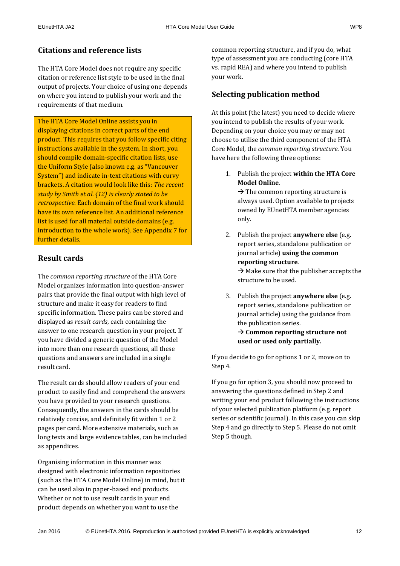### <span id="page-11-0"></span>**Citations and reference lists**

The HTA Core Model does not require any specific citation or reference list style to be used in the final output of projects. Your choice of using one depends on where you intend to publish your work and the requirements of that medium.

The HTA Core Model Online assists you in displaying citations in correct parts of the end product. This requires that you follow specific citing instructions available in the system. In short, you should compile domain-specific citation lists, use the Uniform Style (also known e.g. as "Vancouver System") and indicate in-text citations with curvy brackets. A citation would look like this: *The recent study by Smith et al. {12} is clearly stated to be retrospective.* Each domain of the final work should have its own reference list. An additional reference list is used for all material outside domains (e.g. introduction to the whole work). See Appendix 7 for further details.

### <span id="page-11-1"></span>**Result cards**

The *common reporting structure* of the HTA Core Model organizes information into question-answer pairs that provide the final output with high level of structure and make it easy for readers to find specific information. These pairs can be stored and displayed as *result cards*, each containing the answer to one research question in your project. If you have divided a generic question of the Model into more than one research questions, all these questions and answers are included in a single result card.

The result cards should allow readers of your end product to easily find and comprehend the answers you have provided to your research questions. Consequently, the answers in the cards should be relatively concise, and definitely fit within 1 or 2 pages per card. More extensive materials, such as long texts and large evidence tables, can be included as appendices.

Organising information in this manner was designed with electronic information repositories (such as the HTA Core Model Online) in mind, but it can be used also in paper-based end products. Whether or not to use result cards in your end product depends on whether you want to use the

common reporting structure, and if you do, what type of assessment you are conducting (core HTA vs. rapid REA) and where you intend to publish your work.

### <span id="page-11-2"></span>**Selecting publication method**

At this point (the latest) you need to decide where you intend to publish the results of your work. Depending on your choice you may or may not choose to utilise the third component of the HTA Core Model, the *common reporting structure*. You have here the following three options:

1. Publish the project **within the HTA Core Model Online**.

 $\rightarrow$  The common reporting structure is always used. Option available to projects owned by EUnetHTA member agencies only.

- 2. Publish the project **anywhere else** (e.g. report series, standalone publication or journal article) **using the common reporting structure**.  $\rightarrow$  Make sure that the publisher accepts the structure to be used.
- 3. Publish the project **anywhere else** (e.g. report series, standalone publication or journal article) using the guidance from the publication series.  $\rightarrow$  Common reporting structure not **used or used only partially.**

If you decide to go for options 1 or 2, move on to Step 4.

If you go for option 3, you should now proceed to answering the questions defined in Step 2 and writing your end product following the instructions of your selected publication platform (e.g. report series or scientific journal). In this case you can skip Step 4 and go directly to Step 5. Please do not omit Step 5 though.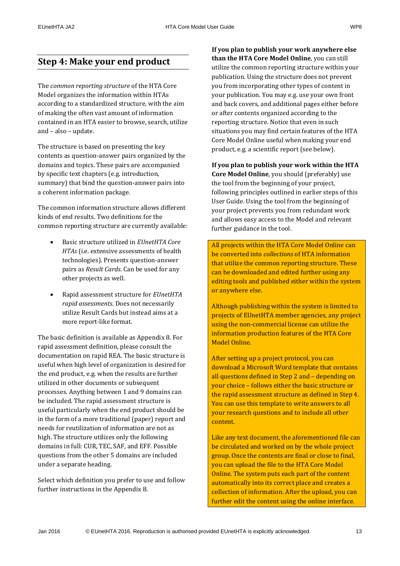### <span id="page-12-0"></span>**Step 4: Make your end product**

The *common reporting structure* of the HTA Core Model organizes the information within HTAs according to a standardized structure, with the aim of making the often vast amount of information contained in an HTA easier to browse, search, utilize and – also – update.

The structure is based on presenting the key contents as question-answer pairs organized by the domains and topics. These pairs are accompanied by specific text chapters (e.g. introduction, summary) that bind the question-answer pairs into a coherent information package.

The common information structure allows different kinds of end results. Two definitions for the common reporting structure are currently available:

- Basic structure utilized in *EUnetHTA Core HTAs* (i.e. extensive assessments of health technologies). Presents question-answer pairs as *Result Cards*. Can be used for any other projects as well.
- Rapid assessment structure for *EUnetHTA rapid assessments*. Does not necessarily utilize Result Cards but instead aims at a more report-like format.

The basic definition is available as Appendix 8. For rapid assessment definition, please consult the documentation on rapid REA. The basic structure is useful when high level of organization is desired for the end product, e.g. when the results are further utilized in other documents or subsequent processes. Anything between 1 and 9 domains can be included. The rapid assessment structure is useful particularly when the end product should be in the form of a more traditional (paper) report and needs for reutilization of information are not as high. The structure utilizes only the following domains in full: CUR, TEC, SAF, and EFF. Possible questions from the other 5 domains are included under a separate heading.

Select which definition you prefer to use and follow further instructions in the Appendix 8.

**If you plan to publish your work anywhere else than the HTA Core Model Online**, you can still utilize the common reporting structure within your publication. Using the structure does not prevent you from incorporating other types of content in your publication. You may e.g. use your own front and back covers, and additional pages either before or after contents organized according to the reporting structure. Notice that even in such situations you may find certain features of the HTA Core Model Online useful when making your end product, e.g. a scientific report (see below).

#### **If you plan to publish your work within the HTA**

**Core Model Online**, you should (preferably) use the tool from the beginning of your project, following principles outlined in earlier steps of this User Guide. Using the tool from the beginning of your project prevents you from redundant work and allows easy access to the Model and relevant further guidance in the tool.

All projects within the HTA Core Model Online can be converted into *collections* of HTA information that utilize the common reporting structure. These can be downloaded and edited further using any editing tools and published either within the system or anywhere else.

Although publishing within the system is limited to projects of EUnetHTA member agencies, any project using the non-commercial license can utilize the information production features of the HTA Core Model Online.

After setting up a project protocol, you can download a Microsoft Word template that contains all questions defined in Step 2 and – depending on your choice – follows either the basic structure or the rapid assessment structure as defined in Step 4. You can use this template to write answers to all your research questions and to include all other content.

Like any text document, the aforementioned file can be circulated and worked on by the whole project group. Once the contents are final or close to final, you can upload the file to the HTA Core Model Online. The system puts each part of the content automatically into its correct place and creates a collection of information. After the upload, you can further edit the content using the online interface.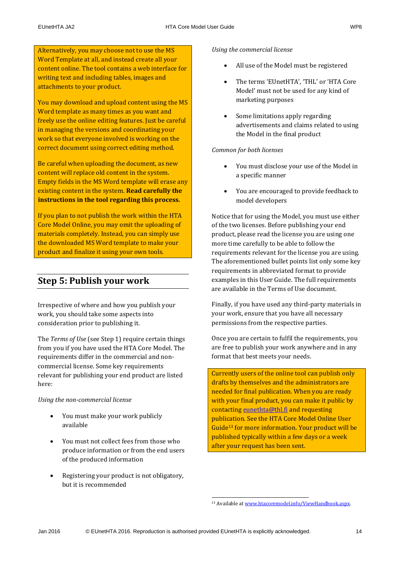Alternatively, you may choose not to use the MS Word Template at all, and instead create all your content online. The tool contains a web interface for writing text and including tables, images and attachments to your product.

You may download and upload content using the MS Word template as many times as you want and freely use the online editing features. Just be careful in managing the versions and coordinating your work so that everyone involved is working on the correct document using correct editing method.

Be careful when uploading the document, as new content will replace old content in the system. Empty fields in the MS Word template will erase any existing content in the system. **Read carefully the instructions in the tool regarding this process.**

If you plan to not publish the work within the HTA Core Model Online, you may omit the uploading of materials completely. Instead, you can simply use the downloaded MS Word template to make your product and finalize it using your own tools.

## <span id="page-13-0"></span>**Step 5: Publish your work**

Irrespective of where and how you publish your work, you should take some aspects into consideration prior to publishing it.

The *Terms of Use* (see Step 1) require certain things from you if you have used the HTA Core Model. The requirements differ in the commercial and noncommercial license. Some key requirements relevant for publishing your end product are listed here:

*Using the non-commercial license*

- You must make your work publicly available
- You must not collect fees from those who produce information or from the end users of the produced information
- Registering your product is not obligatory, but it is recommended

#### *Using the commercial license*

- All use of the Model must be registered
- The terms 'EUnetHTA', 'THL' or 'HTA Core Model' must not be used for any kind of marketing purposes
- Some limitations apply regarding advertisements and claims related to using the Model in the final product

### *Common for both licenses*

- You must disclose your use of the Model in a specific manner
- You are encouraged to provide feedback to model developers

Notice that for using the Model, you must use either of the two licenses. Before publishing your end product, please read the license you are using one more time carefully to be able to follow the requirements relevant for the license you are using. The aforementioned bullet points list only some key requirements in abbreviated format to provide examples in this User Guide. The full requirements are available in the Terms of Use document.

Finally, if you have used any third-party materials in your work, ensure that you have all necessary permissions from the respective parties.

Once you are certain to fulfil the requirements, you are free to publish your work anywhere and in any format that best meets your needs.

Currently users of the online tool can publish only drafts by themselves and the administrators are needed for final publication. When you are ready with your final product, you can make it public by contacting [eunethta@thl.fi](mailto:eunethta@thl.fi) and requesting publication. See the HTA Core Model Online User Guide<sup>13</sup> for more information. Your product will be published typically within a few days or a week after your request has been sent.

.

<sup>13</sup> Available at [www.htacoremodel.info/ViewHandbook.aspx.](http://www.htacoremodel.info/ViewHandbook.aspx)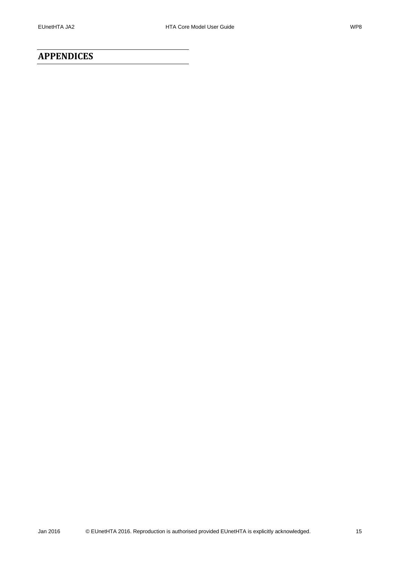### <span id="page-14-0"></span>**APPENDICES**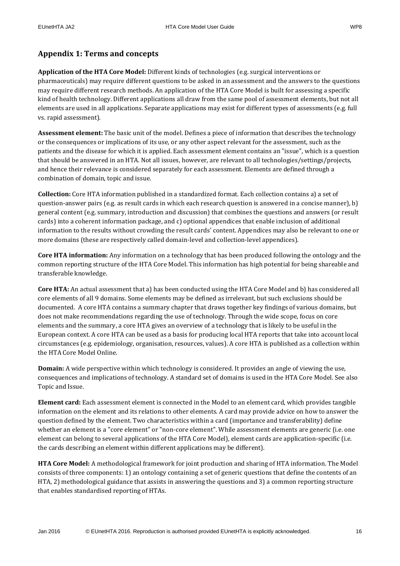### <span id="page-15-0"></span>**Appendix 1: Terms and concepts**

**Application of the HTA Core Model:** Different kinds of technologies (e.g. surgical interventions or pharmaceuticals) may require different questions to be asked in an assessment and the answers to the questions may require different research methods. An application of the HTA Core Model is built for assessing a specific kind of health technology. Different applications all draw from the same pool of assessment elements, but not all elements are used in all applications. Separate applications may exist for different types of assessments (e.g. full vs. rapid assessment).

**Assessment element:** The basic unit of the model. Defines a piece of information that describes the technology or the consequences or implications of its use, or any other aspect relevant for the assessment, such as the patients and the disease for which it is applied. Each assessment element contains an "issue", which is a question that should be answered in an HTA. Not all issues, however, are relevant to all technologies/settings/projects, and hence their relevance is considered separately for each assessment. Elements are defined through a combination of domain, topic and issue.

**Collection:** Core HTA information published in a standardized format. Each collection contains a) a set of question-answer pairs (e.g. as result cards in which each research question is answered in a concise manner), b) general content (e.g. summary, introduction and discussion) that combines the questions and answers (or result cards) into a coherent information package, and c) optional appendices that enable inclusion of additional information to the results without crowding the result cards' content. Appendices may also be relevant to one or more domains (these are respectively called domain-level and collection-level appendices).

**Core HTA information:** Any information on a technology that has been produced following the ontology and the common reporting structure of the HTA Core Model. This information has high potential for being shareable and transferable knowledge.

**Core HTA:** An actual assessment that a) has been conducted using the HTA Core Model and b) has considered all core elements of all 9 domains. Some elements may be defined as irrelevant, but such exclusions should be documented. A core HTA contains a summary chapter that draws together key findings of various domains, but does not make recommendations regarding the use of technology. Through the wide scope, focus on core elements and the summary, a core HTA gives an overview of a technology that is likely to be useful in the European context. A core HTA can be used as a basis for producing local HTA reports that take into account local circumstances (e.g. epidemiology, organisation, resources, values). A core HTA is published as a collection within the HTA Core Model Online.

**Domain:** A wide perspective within which technology is considered. It provides an angle of viewing the use, consequences and implications of technology. A standard set of domains is used in the HTA Core Model. See also Topic and Issue.

**Element card:** Each assessment element is connected in the Model to an element card, which provides tangible information on the element and its relations to other elements. A card may provide advice on how to answer the question defined by the element. Two characteristics within a card (importance and transferability) define whether an element is a "core element" or "non-core element". While assessment elements are generic (i.e. one element can belong to several applications of the HTA Core Model), element cards are application-specific (i.e. the cards describing an element within different applications may be different).

**HTA Core Model:** A methodological framework for joint production and sharing of HTA information. The Model consists of three components: 1) an ontology containing a set of generic questions that define the contents of an HTA, 2) methodological guidance that assists in answering the questions and 3) a common reporting structure that enables standardised reporting of HTAs.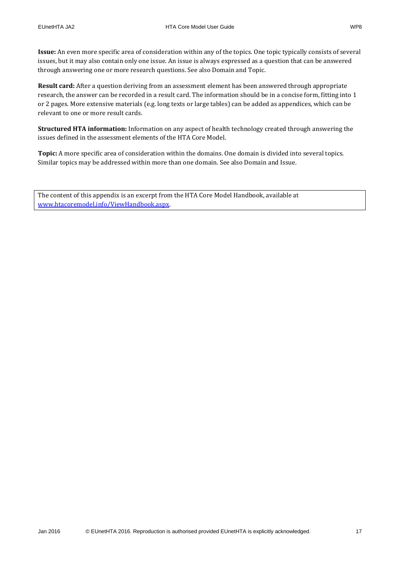**Issue:** An even more specific area of consideration within any of the topics. One topic typically consists of several issues, but it may also contain only one issue. An issue is always expressed as a question that can be answered through answering one or more research questions. See also Domain and Topic.

**Result card:** After a question deriving from an assessment element has been answered through appropriate research, the answer can be recorded in a result card. The information should be in a concise form, fitting into 1 or 2 pages. More extensive materials (e.g. long texts or large tables) can be added as appendices, which can be relevant to one or more result cards.

**Structured HTA information:** Information on any aspect of health technology created through answering the issues defined in the assessment elements of the HTA Core Model.

**Topic:** A more specific area of consideration within the domains. One domain is divided into several topics. Similar topics may be addressed within more than one domain. See also Domain and Issue.

The content of this appendix is an excerpt from the HTA Core Model Handbook, available at [www.htacoremodel.info/ViewHandbook.aspx.](http://www.htacoremodel.info/ViewHandbook.aspx)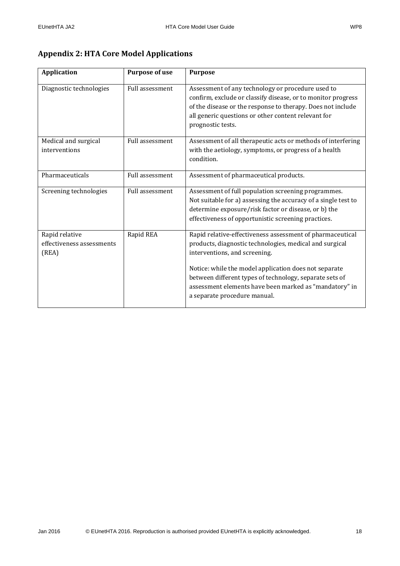### <span id="page-17-0"></span>**Appendix 2: HTA Core Model Applications**

| <b>Application</b>                                   | <b>Purpose of use</b>  | <b>Purpose</b>                                                                                                                                                                                                                                                                                                                                                      |
|------------------------------------------------------|------------------------|---------------------------------------------------------------------------------------------------------------------------------------------------------------------------------------------------------------------------------------------------------------------------------------------------------------------------------------------------------------------|
| Diagnostic technologies                              | <b>Full assessment</b> | Assessment of any technology or procedure used to<br>confirm, exclude or classify disease, or to monitor progress<br>of the disease or the response to therapy. Does not include<br>all generic questions or other content relevant for<br>prognostic tests.                                                                                                        |
| Medical and surgical<br>interventions                | Full assessment        | Assessment of all therapeutic acts or methods of interfering<br>with the aetiology, symptoms, or progress of a health<br>condition.                                                                                                                                                                                                                                 |
| Pharmaceuticals                                      | <b>Full assessment</b> | Assessment of pharmaceutical products.                                                                                                                                                                                                                                                                                                                              |
| Screening technologies                               | Full assessment        | Assessment of full population screening programmes.<br>Not suitable for a) assessing the accuracy of a single test to<br>determine exposure/risk factor or disease, or b) the<br>effectiveness of opportunistic screening practices.                                                                                                                                |
| Rapid relative<br>effectiveness assessments<br>(REA) | Rapid REA              | Rapid relative-effectiveness assessment of pharmaceutical<br>products, diagnostic technologies, medical and surgical<br>interventions, and screening.<br>Notice: while the model application does not separate<br>between different types of technology, separate sets of<br>assessment elements have been marked as "mandatory" in<br>a separate procedure manual. |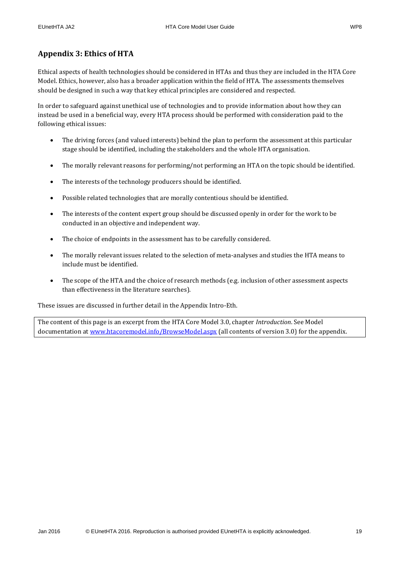### <span id="page-18-0"></span>**Appendix 3: Ethics of HTA**

Ethical aspects of health technologies should be considered in HTAs and thus they are included in the HTA Core Model. Ethics, however, also has a broader application within the field of HTA. The assessments themselves should be designed in such a way that key ethical principles are considered and respected.

In order to safeguard against unethical use of technologies and to provide information about how they can instead be used in a beneficial way, every HTA process should be performed with consideration paid to the following ethical issues:

- The driving forces (and valued interests) behind the plan to perform the assessment at this particular stage should be identified, including the stakeholders and the whole HTA organisation.
- The morally relevant reasons for performing/not performing an HTA on the topic should be identified.
- The interests of the technology producers should be identified.
- Possible related technologies that are morally contentious should be identified.
- The interests of the content expert group should be discussed openly in order for the work to be conducted in an objective and independent way.
- The choice of endpoints in the assessment has to be carefully considered.
- The morally relevant issues related to the selection of meta-analyses and studies the HTA means to include must be identified.
- The scope of the HTA and the choice of research methods (e.g. inclusion of other assessment aspects than effectiveness in the literature searches).

These issues are discussed in further detail in the Appendix Intro-Eth.

The content of this page is an excerpt from the HTA Core Model 3.0, chapter *Introduction*. See Model documentation at [www.htacoremodel.info/BrowseModel.aspx](http://www.htacoremodel.info/BrowseModel.aspx) (all contents of version 3.0) for the appendix.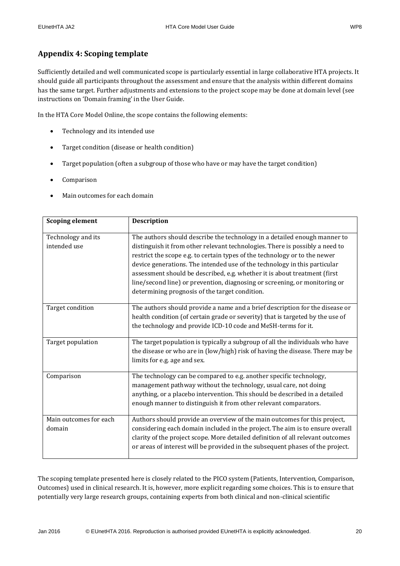### <span id="page-19-0"></span>**Appendix 4: Scoping template**

Sufficiently detailed and well communicated scope is particularly essential in large collaborative HTA projects. It should guide all participants throughout the assessment and ensure that the analysis within different domains has the same target. Further adjustments and extensions to the project scope may be done at domain level (see instructions on 'Domain framing' in the User Guide.

In the HTA Core Model Online, the scope contains the following elements:

- Technology and its intended use
- Target condition (disease or health condition)
- Target population (often a subgroup of those who have or may have the target condition)
- Comparison
- Main outcomes for each domain

| <b>Scoping element</b>             | <b>Description</b>                                                                                                                                                                                                                                                                                                                                                                                                                                                                                                                |
|------------------------------------|-----------------------------------------------------------------------------------------------------------------------------------------------------------------------------------------------------------------------------------------------------------------------------------------------------------------------------------------------------------------------------------------------------------------------------------------------------------------------------------------------------------------------------------|
| Technology and its<br>intended use | The authors should describe the technology in a detailed enough manner to<br>distinguish it from other relevant technologies. There is possibly a need to<br>restrict the scope e.g. to certain types of the technology or to the newer<br>device generations. The intended use of the technology in this particular<br>assessment should be described, e.g. whether it is about treatment (first<br>line/second line) or prevention, diagnosing or screening, or monitoring or<br>determining prognosis of the target condition. |
| Target condition                   | The authors should provide a name and a brief description for the disease or<br>health condition (of certain grade or severity) that is targeted by the use of<br>the technology and provide ICD-10 code and MeSH-terms for it.                                                                                                                                                                                                                                                                                                   |
| Target population                  | The target population is typically a subgroup of all the individuals who have<br>the disease or who are in (low/high) risk of having the disease. There may be<br>limits for e.g. age and sex.                                                                                                                                                                                                                                                                                                                                    |
| Comparison                         | The technology can be compared to e.g. another specific technology,<br>management pathway without the technology, usual care, not doing<br>anything, or a placebo intervention. This should be described in a detailed<br>enough manner to distinguish it from other relevant comparators.                                                                                                                                                                                                                                        |
| Main outcomes for each<br>domain   | Authors should provide an overview of the main outcomes for this project,<br>considering each domain included in the project. The aim is to ensure overall<br>clarity of the project scope. More detailed definition of all relevant outcomes<br>or areas of interest will be provided in the subsequent phases of the project.                                                                                                                                                                                                   |

The scoping template presented here is closely related to the PICO system (Patients, Intervention, Comparison, Outcomes) used in clinical research. It is, however, more explicit regarding some choices. This is to ensure that potentially very large research groups, containing experts from both clinical and non-clinical scientific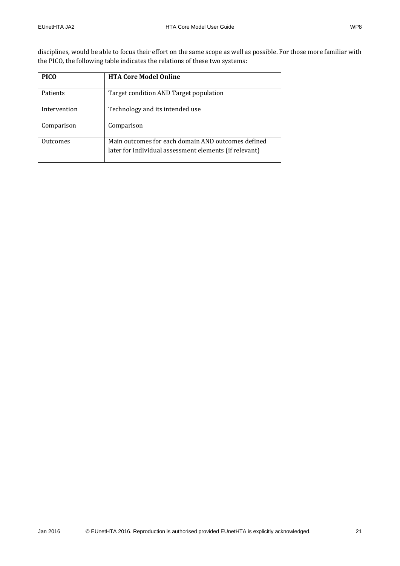disciplines, would be able to focus their effort on the same scope as well as possible. For those more familiar with the PICO, the following table indicates the relations of these two systems:

| <b>PICO</b>  | <b>HTA Core Model Online</b>                                                                                 |
|--------------|--------------------------------------------------------------------------------------------------------------|
| Patients     | Target condition AND Target population                                                                       |
| Intervention | Technology and its intended use                                                                              |
| Comparison   | Comparison                                                                                                   |
| Outcomes     | Main outcomes for each domain AND outcomes defined<br>later for individual assessment elements (if relevant) |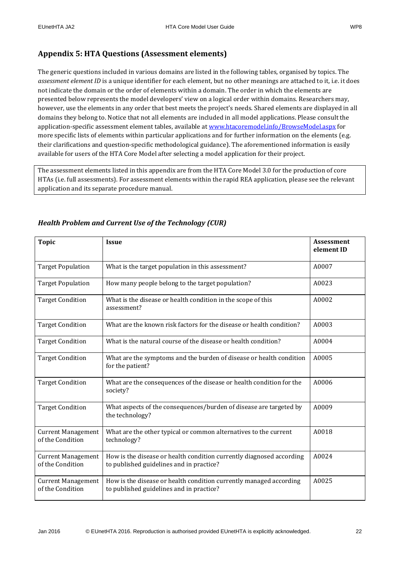<span id="page-21-0"></span>The generic questions included in various domains are listed in the following tables, organised by topics. The *assessment element ID* is a unique identifier for each element, but no other meanings are attached to it, i.e. it does not indicate the domain or the order of elements within a domain. The order in which the elements are presented below represents the model developers' view on a logical order within domains. Researchers may, however, use the elements in any order that best meets the project's needs. Shared elements are displayed in all domains they belong to. Notice that not all elements are included in all model applications. Please consult the application-specific assessment element tables, available at [www.htacoremodel.info/BrowseModel.aspx](http://www.htacoremodel.info/BrowseModel.aspx) for more specific lists of elements within particular applications and for further information on the elements (e.g. their clarifications and question-specific methodological guidance). The aforementioned information is easily available for users of the HTA Core Model after selecting a model application for their project.

The assessment elements listed in this appendix are from the HTA Core Model 3.0 for the production of core HTAs (i.e. full assessments). For assessment elements within the rapid REA application, please see the relevant application and its separate procedure manual.

| <b>Topic</b>                                  | <b>Issue</b>                                                                                                     | <b>Assessment</b><br>element ID |
|-----------------------------------------------|------------------------------------------------------------------------------------------------------------------|---------------------------------|
| <b>Target Population</b>                      | What is the target population in this assessment?                                                                | A0007                           |
| <b>Target Population</b>                      | How many people belong to the target population?                                                                 | A0023                           |
| <b>Target Condition</b>                       | What is the disease or health condition in the scope of this<br>assessment?                                      | A0002                           |
| <b>Target Condition</b>                       | What are the known risk factors for the disease or health condition?                                             | A0003                           |
| <b>Target Condition</b>                       | What is the natural course of the disease or health condition?                                                   | A0004                           |
| <b>Target Condition</b>                       | What are the symptoms and the burden of disease or health condition<br>for the patient?                          | A0005                           |
| <b>Target Condition</b>                       | What are the consequences of the disease or health condition for the<br>society?                                 | A0006                           |
| <b>Target Condition</b>                       | What aspects of the consequences/burden of disease are targeted by<br>the technology?                            | A0009                           |
| <b>Current Management</b><br>of the Condition | What are the other typical or common alternatives to the current<br>technology?                                  | A0018                           |
| <b>Current Management</b><br>of the Condition | How is the disease or health condition currently diagnosed according<br>to published guidelines and in practice? | A0024                           |
| <b>Current Management</b><br>of the Condition | How is the disease or health condition currently managed according<br>to published guidelines and in practice?   | A0025                           |

### <span id="page-21-1"></span>*Health Problem and Current Use of the Technology (CUR)*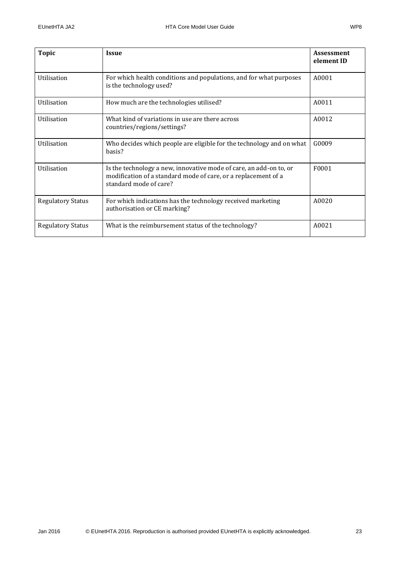| <b>Topic</b>             | <b>Issue</b>                                                                                                                                                   | <b>Assessment</b><br>element ID |
|--------------------------|----------------------------------------------------------------------------------------------------------------------------------------------------------------|---------------------------------|
| Utilisation              | For which health conditions and populations, and for what purposes<br>is the technology used?                                                                  | A0001                           |
| Utilisation              | How much are the technologies utilised?                                                                                                                        | A0011                           |
| Utilisation              | What kind of variations in use are there across<br>countries/regions/settings?                                                                                 | A0012                           |
| Utilisation              | Who decides which people are eligible for the technology and on what<br>basis?                                                                                 | G0009                           |
| Utilisation              | Is the technology a new, innovative mode of care, an add-on to, or<br>modification of a standard mode of care, or a replacement of a<br>standard mode of care? | F0001                           |
| <b>Regulatory Status</b> | For which indications has the technology received marketing<br>authorisation or CE marking?                                                                    | A0020                           |
| <b>Regulatory Status</b> | What is the reimbursement status of the technology?                                                                                                            | A0021                           |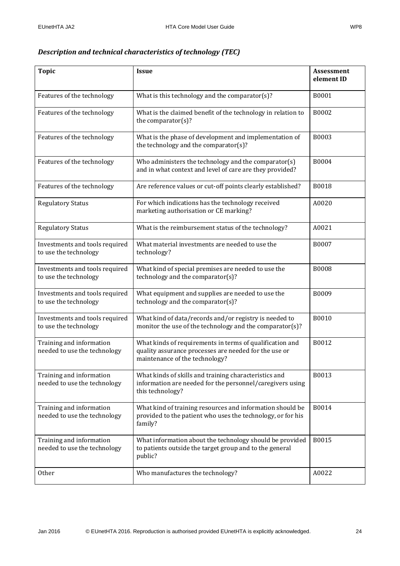### <span id="page-23-0"></span>*Description and technical characteristics of technology (TEC)*

| <b>Topic</b>                                             | <b>Issue</b>                                                                                                                                        | <b>Assessment</b><br>element ID |
|----------------------------------------------------------|-----------------------------------------------------------------------------------------------------------------------------------------------------|---------------------------------|
| Features of the technology                               | What is this technology and the comparator(s)?                                                                                                      | B0001                           |
| Features of the technology                               | What is the claimed benefit of the technology in relation to<br>the comparator(s)?                                                                  | B0002                           |
| Features of the technology                               | What is the phase of development and implementation of<br>the technology and the comparator(s)?                                                     | <b>B0003</b>                    |
| Features of the technology                               | Who administers the technology and the comparator(s)<br>and in what context and level of care are they provided?                                    | B0004                           |
| Features of the technology                               | Are reference values or cut-off points clearly established?                                                                                         | B0018                           |
| <b>Regulatory Status</b>                                 | For which indications has the technology received<br>marketing authorisation or CE marking?                                                         | A0020                           |
| <b>Regulatory Status</b>                                 | What is the reimbursement status of the technology?                                                                                                 | A0021                           |
| Investments and tools required<br>to use the technology  | What material investments are needed to use the<br>technology?                                                                                      | B0007                           |
| Investments and tools required<br>to use the technology  | What kind of special premises are needed to use the<br>technology and the comparator(s)?                                                            | <b>B0008</b>                    |
| Investments and tools required<br>to use the technology  | What equipment and supplies are needed to use the<br>technology and the comparator(s)?                                                              | B0009                           |
| Investments and tools required<br>to use the technology  | What kind of data/records and/or registry is needed to<br>monitor the use of the technology and the comparator(s)?                                  | B0010                           |
| Training and information<br>needed to use the technology | What kinds of requirements in terms of qualification and<br>quality assurance processes are needed for the use or<br>maintenance of the technology? | B0012                           |
| Training and information<br>needed to use the technology | What kinds of skills and training characteristics and<br>information are needed for the personnel/caregivers using<br>this technology?              | B0013                           |
| Training and information<br>needed to use the technology | What kind of training resources and information should be<br>provided to the patient who uses the technology, or for his<br>family?                 | B0014                           |
| Training and information<br>needed to use the technology | What information about the technology should be provided<br>to patients outside the target group and to the general<br>public?                      | B0015                           |
| Other                                                    | Who manufactures the technology?                                                                                                                    | A0022                           |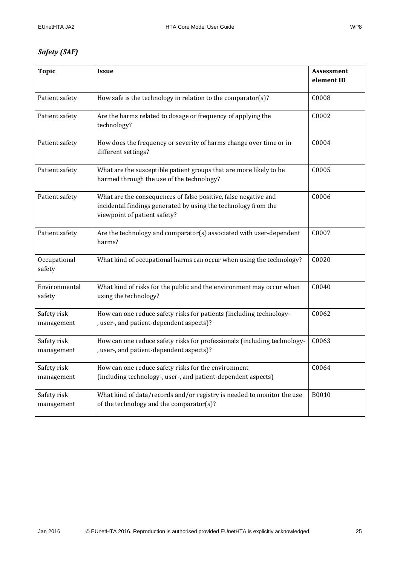### <span id="page-24-0"></span>*Safety (SAF)*

| <b>Topic</b>              | <b>Issue</b>                                                                                                                                                      | <b>Assessment</b><br>element ID |
|---------------------------|-------------------------------------------------------------------------------------------------------------------------------------------------------------------|---------------------------------|
| Patient safety            | How safe is the technology in relation to the comparator(s)?                                                                                                      | C0008                           |
| Patient safety            | Are the harms related to dosage or frequency of applying the<br>technology?                                                                                       | C0002                           |
| Patient safety            | How does the frequency or severity of harms change over time or in<br>different settings?                                                                         | C0004                           |
| Patient safety            | What are the susceptible patient groups that are more likely to be<br>harmed through the use of the technology?                                                   | C0005                           |
| Patient safety            | What are the consequences of false positive, false negative and<br>incidental findings generated by using the technology from the<br>viewpoint of patient safety? | C0006                           |
| Patient safety            | Are the technology and comparator(s) associated with user-dependent<br>harms?                                                                                     | C0007                           |
| Occupational<br>safety    | What kind of occupational harms can occur when using the technology?                                                                                              | C0020                           |
| Environmental<br>safety   | What kind of risks for the public and the environment may occur when<br>using the technology?                                                                     | C0040                           |
| Safety risk<br>management | How can one reduce safety risks for patients (including technology-<br>, user-, and patient-dependent aspects)?                                                   | C0062                           |
| Safety risk<br>management | How can one reduce safety risks for professionals (including technology-<br>, user-, and patient-dependent aspects)?                                              | C0063                           |
| Safety risk<br>management | How can one reduce safety risks for the environment<br>(including technology-, user-, and patient-dependent aspects)                                              | C0064                           |
| Safety risk<br>management | What kind of data/records and/or registry is needed to monitor the use<br>of the technology and the comparator(s)?                                                | B0010                           |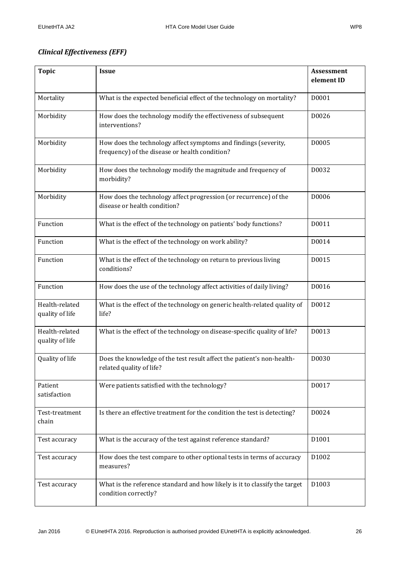### <span id="page-25-0"></span>*Clinical Effectiveness (EFF)*

| <b>Topic</b>                      | <b>Issue</b>                                                                                                      | Assessment<br>element ID |
|-----------------------------------|-------------------------------------------------------------------------------------------------------------------|--------------------------|
|                                   |                                                                                                                   |                          |
| Mortality                         | What is the expected beneficial effect of the technology on mortality?                                            | D0001                    |
| Morbidity                         | How does the technology modify the effectiveness of subsequent<br>interventions?                                  | D0026                    |
| Morbidity                         | How does the technology affect symptoms and findings (severity,<br>frequency) of the disease or health condition? | D0005                    |
| Morbidity                         | How does the technology modify the magnitude and frequency of<br>morbidity?                                       | D0032                    |
| Morbidity                         | How does the technology affect progression (or recurrence) of the<br>disease or health condition?                 | D0006                    |
| Function                          | What is the effect of the technology on patients' body functions?                                                 | D0011                    |
| Function                          | What is the effect of the technology on work ability?                                                             | D0014                    |
| Function                          | What is the effect of the technology on return to previous living<br>conditions?                                  | D0015                    |
| Function                          | How does the use of the technology affect activities of daily living?                                             | D0016                    |
| Health-related<br>quality of life | What is the effect of the technology on generic health-related quality of<br>life?                                | D0012                    |
| Health-related<br>quality of life | What is the effect of the technology on disease-specific quality of life?                                         | D0013                    |
| Quality of life                   | Does the knowledge of the test result affect the patient's non-health-<br>related quality of life?                | D0030                    |
| Patient<br>satisfaction           | Were patients satisfied with the technology?                                                                      | D0017                    |
| Test-treatment<br>chain           | Is there an effective treatment for the condition the test is detecting?                                          | D0024                    |
| Test accuracy                     | What is the accuracy of the test against reference standard?                                                      | D1001                    |
| Test accuracy                     | How does the test compare to other optional tests in terms of accuracy<br>measures?                               | D1002                    |
| Test accuracy                     | What is the reference standard and how likely is it to classify the target<br>condition correctly?                | D1003                    |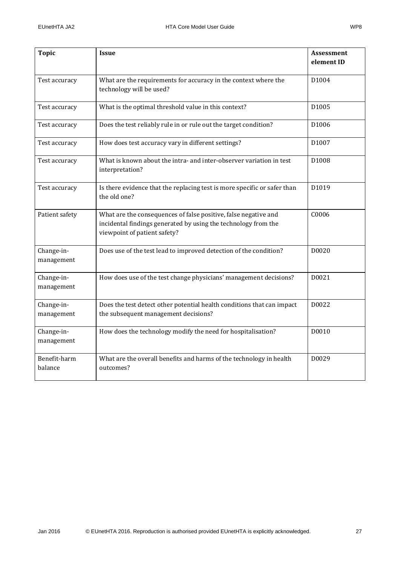| <b>Topic</b>             | <b>Issue</b>                                                                                                                                                      | <b>Assessment</b><br>element ID |
|--------------------------|-------------------------------------------------------------------------------------------------------------------------------------------------------------------|---------------------------------|
| Test accuracy            | What are the requirements for accuracy in the context where the<br>technology will be used?                                                                       | D1004                           |
| Test accuracy            | What is the optimal threshold value in this context?                                                                                                              | D1005                           |
| Test accuracy            | Does the test reliably rule in or rule out the target condition?                                                                                                  | D1006                           |
| Test accuracy            | How does test accuracy vary in different settings?                                                                                                                | D1007                           |
| Test accuracy            | What is known about the intra- and inter-observer variation in test<br>interpretation?                                                                            | D1008                           |
| Test accuracy            | Is there evidence that the replacing test is more specific or safer than<br>the old one?                                                                          | D1019                           |
| Patient safety           | What are the consequences of false positive, false negative and<br>incidental findings generated by using the technology from the<br>viewpoint of patient safety? | C0006                           |
| Change-in-<br>management | Does use of the test lead to improved detection of the condition?                                                                                                 | D0020                           |
| Change-in-<br>management | How does use of the test change physicians' management decisions?                                                                                                 | D0021                           |
| Change-in-<br>management | Does the test detect other potential health conditions that can impact<br>the subsequent management decisions?                                                    | D0022                           |
| Change-in-<br>management | How does the technology modify the need for hospitalisation?                                                                                                      | D0010                           |
| Benefit-harm<br>balance  | What are the overall benefits and harms of the technology in health<br>outcomes?                                                                                  | D0029                           |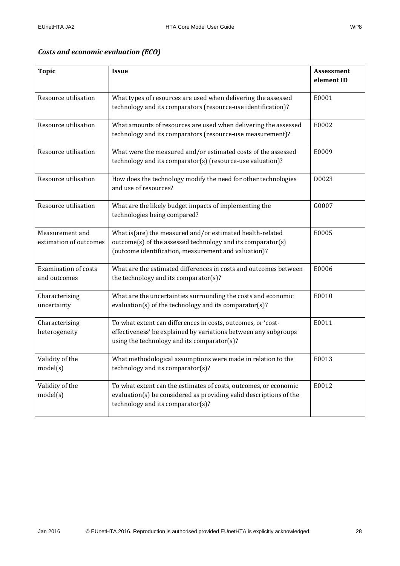### <span id="page-27-0"></span>*Costs and economic evaluation (ECO)*

| <b>Topic</b>                                | <b>Issue</b>                                                                                                                                                                     | <b>Assessment</b><br>element ID |
|---------------------------------------------|----------------------------------------------------------------------------------------------------------------------------------------------------------------------------------|---------------------------------|
| Resource utilisation                        | What types of resources are used when delivering the assessed<br>technology and its comparators (resource-use identification)?                                                   | E0001                           |
| Resource utilisation                        | What amounts of resources are used when delivering the assessed<br>technology and its comparators (resource-use measurement)?                                                    | E0002                           |
| Resource utilisation                        | What were the measured and/or estimated costs of the assessed<br>technology and its comparator(s) (resource-use valuation)?                                                      | E0009                           |
| Resource utilisation                        | How does the technology modify the need for other technologies<br>and use of resources?                                                                                          | D0023                           |
| Resource utilisation                        | What are the likely budget impacts of implementing the<br>technologies being compared?                                                                                           | G0007                           |
| Measurement and<br>estimation of outcomes   | What is(are) the measured and/or estimated health-related<br>outcome(s) of the assessed technology and its comparator(s)<br>(outcome identification, measurement and valuation)? | E0005                           |
| <b>Examination of costs</b><br>and outcomes | What are the estimated differences in costs and outcomes between<br>the technology and its comparator(s)?                                                                        | E0006                           |
| Characterising<br>uncertainty               | What are the uncertainties surrounding the costs and economic<br>evaluation(s) of the technology and its comparator(s)?                                                          | E0010                           |
| Characterising<br>heterogeneity             | To what extent can differences in costs, outcomes, or 'cost-<br>effectiveness' be explained by variations between any subgroups<br>using the technology and its comparator(s)?   | E0011                           |
| Validity of the<br>model(s)                 | What methodological assumptions were made in relation to the<br>technology and its comparator $(s)$ ?                                                                            | E0013                           |
| Validity of the<br>model(s)                 | To what extent can the estimates of costs, outcomes, or economic<br>evaluation(s) be considered as providing valid descriptions of the<br>technology and its comparator(s)?      | E0012                           |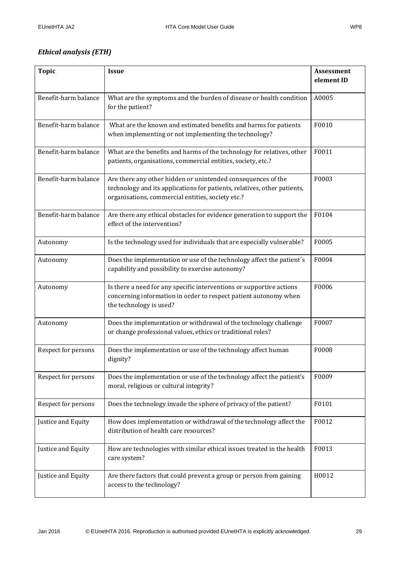### <span id="page-28-0"></span>*Ethical analysis (ETH)*

| <b>Topic</b>                                                                                                           | <b>Issue</b>                                                                                                                                                                                           | <b>Assessment</b><br>element ID |
|------------------------------------------------------------------------------------------------------------------------|--------------------------------------------------------------------------------------------------------------------------------------------------------------------------------------------------------|---------------------------------|
| Benefit-harm balance                                                                                                   | What are the symptoms and the burden of disease or health condition<br>for the patient?                                                                                                                | A0005                           |
| Benefit-harm balance                                                                                                   | What are the known and estimated benefits and harms for patients<br>when implementing or not implementing the technology?                                                                              | F0010                           |
| Benefit-harm balance                                                                                                   | What are the benefits and harms of the technology for relatives, other<br>patients, organisations, commercial entities, society, etc.?                                                                 | F0011                           |
| Benefit-harm balance                                                                                                   | Are there any other hidden or unintended consequences of the<br>F0003<br>technology and its applications for patients, relatives, other patients,<br>organisations, commercial entities, society etc.? |                                 |
| Benefit-harm balance                                                                                                   | Are there any ethical obstacles for evidence generation to support the<br>effect of the intervention?                                                                                                  | F0104                           |
| Autonomy                                                                                                               | Is the technology used for individuals that are especially vulnerable?                                                                                                                                 |                                 |
| Autonomy                                                                                                               | Does the implementation or use of the technology affect the patient's<br>capability and possibility to exercise autonomy?                                                                              |                                 |
| Autonomy                                                                                                               | Is there a need for any specific interventions or supportive actions<br>concerning information in order to respect patient autonomy when<br>the technology is used?                                    |                                 |
| Autonomy                                                                                                               | Does the implementation or withdrawal of the technology challenge<br>or change professional values, ethics or traditional roles?                                                                       |                                 |
| Respect for persons                                                                                                    | Does the implementation or use of the technology affect human<br>dignity?                                                                                                                              |                                 |
| Respect for persons                                                                                                    | Does the implementation or use of the technology affect the patient's<br>moral, religious or cultural integrity?                                                                                       |                                 |
| Respect for persons                                                                                                    | Does the technology invade the sphere of privacy of the patient?                                                                                                                                       |                                 |
| Justice and Equity                                                                                                     | How does implementation or withdrawal of the technology affect the<br>distribution of health care resources?                                                                                           |                                 |
| Justice and Equity                                                                                                     | How are technologies with similar ethical issues treated in the health<br>care system?                                                                                                                 |                                 |
| Justice and Equity<br>Are there factors that could prevent a group or person from gaining<br>access to the technology? |                                                                                                                                                                                                        | H0012                           |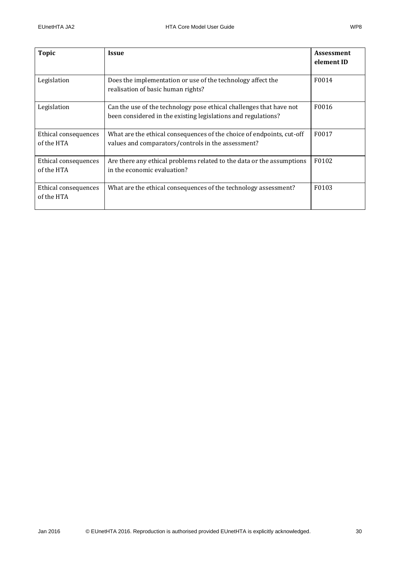| Topic                              | <b>Issue</b>                                                                                                                         | <b>Assessment</b><br>element ID |
|------------------------------------|--------------------------------------------------------------------------------------------------------------------------------------|---------------------------------|
| Legislation                        | Does the implementation or use of the technology affect the<br>realisation of basic human rights?                                    | F0014                           |
| Legislation                        | Can the use of the technology pose ethical challenges that have not<br>been considered in the existing legislations and regulations? | F0016                           |
| Ethical consequences<br>of the HTA | What are the ethical consequences of the choice of endpoints, cut-off<br>values and comparators/controls in the assessment?          | F0017                           |
| Ethical consequences<br>of the HTA | Are there any ethical problems related to the data or the assumptions<br>in the economic evaluation?                                 | F0102                           |
| Ethical consequences<br>of the HTA | What are the ethical consequences of the technology assessment?                                                                      | F0103                           |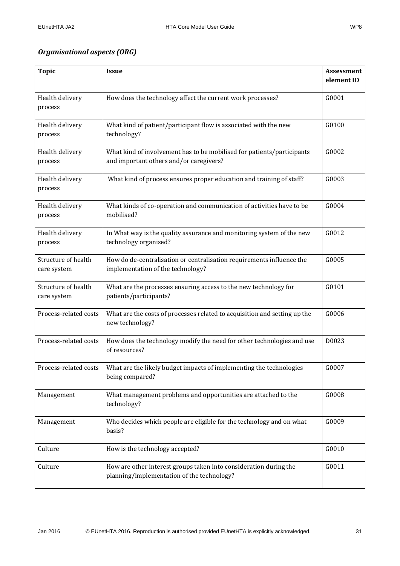### <span id="page-30-0"></span>*Organisational aspects (ORG)*

| <b>Topic</b>          | <b>Issue</b>                                                                                 | <b>Assessment</b> |
|-----------------------|----------------------------------------------------------------------------------------------|-------------------|
|                       |                                                                                              | element ID        |
| Health delivery       | How does the technology affect the current work processes?                                   | G0001             |
| process               |                                                                                              |                   |
| Health delivery       | What kind of patient/participant flow is associated with the new                             | G0100             |
| process               | technology?                                                                                  |                   |
| Health delivery       | What kind of involvement has to be mobilised for patients/participants                       | G0002             |
| process               | and important others and/or caregivers?                                                      |                   |
| Health delivery       | What kind of process ensures proper education and training of staff?                         | G0003             |
| process               |                                                                                              |                   |
| Health delivery       | What kinds of co-operation and communication of activities have to be                        | G0004             |
| process               | mobilised?                                                                                   |                   |
| Health delivery       | In What way is the quality assurance and monitoring system of the new                        | G0012             |
| process               | technology organised?                                                                        |                   |
| Structure of health   | How do de-centralisation or centralisation requirements influence the                        | G0005             |
| care system           | implementation of the technology?                                                            |                   |
| Structure of health   | What are the processes ensuring access to the new technology for                             | G0101             |
| care system           | patients/participants?                                                                       |                   |
| Process-related costs | What are the costs of processes related to acquisition and setting up the<br>new technology? | G0006             |
|                       |                                                                                              |                   |
| Process-related costs | How does the technology modify the need for other technologies and use<br>of resources?      | D0023             |
|                       |                                                                                              |                   |
| Process-related costs | What are the likely budget impacts of implementing the technologies<br>being compared?       | G0007             |
|                       |                                                                                              |                   |
| Management            | What management problems and opportunities are attached to the<br>technology?                | G0008             |
|                       |                                                                                              |                   |
| Management            | Who decides which people are eligible for the technology and on what<br>basis?               | G0009             |
|                       |                                                                                              |                   |
| Culture               | How is the technology accepted?                                                              | G0010             |
| Culture               | How are other interest groups taken into consideration during the                            | G0011             |
|                       | planning/implementation of the technology?                                                   |                   |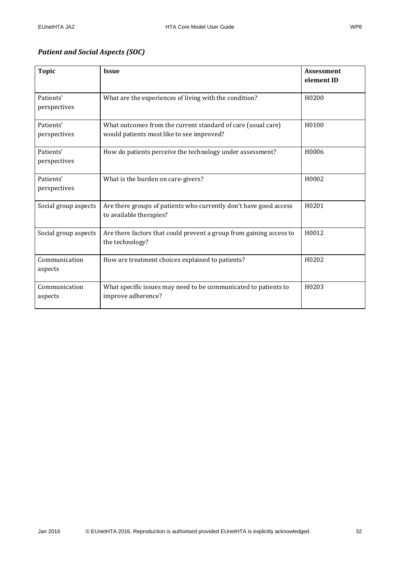### <span id="page-31-0"></span>*Patient and Social Aspects (SOC)*

| <b>Topic</b>              | <b>Issue</b>                                                                                              | <b>Assessment</b><br>element ID |
|---------------------------|-----------------------------------------------------------------------------------------------------------|---------------------------------|
| Patients'<br>perspectives | What are the experiences of living with the condition?                                                    | H0200                           |
| Patients'<br>perspectives | What outcomes from the current standard of care (usual care)<br>would patients most like to see improved? | H <sub>0</sub> 10 <sub>0</sub>  |
| Patients'<br>perspectives | How do patients perceive the technology under assessment?                                                 | H0006                           |
| Patients'<br>perspectives | What is the burden on care-givers?                                                                        | H0002                           |
| Social group aspects      | Are there groups of patients who currently don't have good access<br>to available therapies?              | H0201                           |
| Social group aspects      | Are there factors that could prevent a group from gaining access to<br>the technology?                    | H0012                           |
| Communication<br>aspects  | How are treatment choices explained to patients?                                                          | H0202                           |
| Communication<br>aspects  | What specific issues may need to be communicated to patients to<br>improve adherence?                     | H0203                           |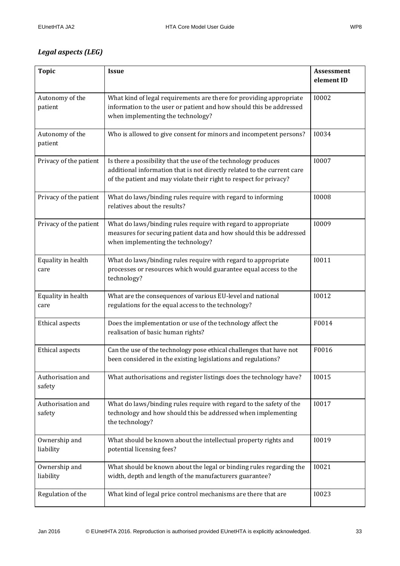### <span id="page-32-0"></span>*Legal aspects (LEG)*

| <b>Topic</b>                | <b>Issue</b>                                                                                                                                                                                                    | <b>Assessment</b><br>element ID |  |
|-----------------------------|-----------------------------------------------------------------------------------------------------------------------------------------------------------------------------------------------------------------|---------------------------------|--|
| Autonomy of the<br>patient  | What kind of legal requirements are there for providing appropriate<br>information to the user or patient and how should this be addressed<br>when implementing the technology?                                 | 10002                           |  |
| Autonomy of the<br>patient  | Who is allowed to give consent for minors and incompetent persons?                                                                                                                                              | 10034                           |  |
| Privacy of the patient      | Is there a possibility that the use of the technology produces<br>additional information that is not directly related to the current care<br>of the patient and may violate their right to respect for privacy? | 10007                           |  |
| Privacy of the patient      | What do laws/binding rules require with regard to informing<br>relatives about the results?                                                                                                                     | 10008                           |  |
| Privacy of the patient      | What do laws/binding rules require with regard to appropriate<br>measures for securing patient data and how should this be addressed<br>when implementing the technology?                                       |                                 |  |
| Equality in health<br>care  | What do laws/binding rules require with regard to appropriate<br>processes or resources which would guarantee equal access to the<br>technology?                                                                | <b>I0011</b>                    |  |
| Equality in health<br>care  | What are the consequences of various EU-level and national<br>regulations for the equal access to the technology?                                                                                               | 10012                           |  |
| Ethical aspects             | Does the implementation or use of the technology affect the<br>realisation of basic human rights?                                                                                                               | F0014                           |  |
| Ethical aspects             | Can the use of the technology pose ethical challenges that have not<br>been considered in the existing legislations and regulations?                                                                            | F0016                           |  |
| Authorisation and<br>safety | What authorisations and register listings does the technology have?                                                                                                                                             |                                 |  |
| Authorisation and<br>safety | What do laws/binding rules require with regard to the safety of the<br>technology and how should this be addressed when implementing<br>the technology?                                                         |                                 |  |
| Ownership and<br>liability  | What should be known about the intellectual property rights and<br>potential licensing fees?                                                                                                                    | <b>I0019</b>                    |  |
| Ownership and<br>liability  | What should be known about the legal or binding rules regarding the<br>width, depth and length of the manufacturers guarantee?                                                                                  |                                 |  |
| Regulation of the           | What kind of legal price control mechanisms are there that are                                                                                                                                                  | 10023                           |  |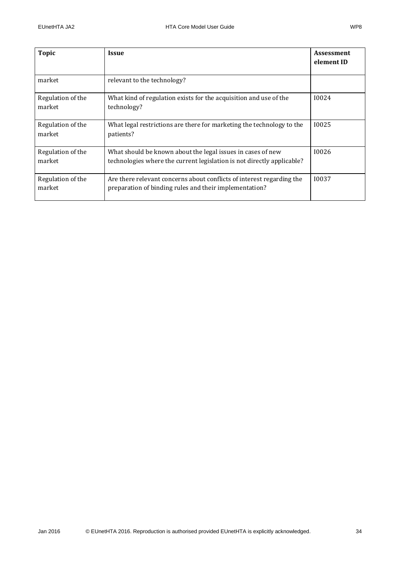| <b>Topic</b>                | <b>Issue</b>                                                                                                                          | <b>Assessment</b><br>element ID |
|-----------------------------|---------------------------------------------------------------------------------------------------------------------------------------|---------------------------------|
| market                      | relevant to the technology?                                                                                                           |                                 |
| Regulation of the<br>market | What kind of regulation exists for the acquisition and use of the<br>technology?                                                      | 10024                           |
| Regulation of the<br>market | What legal restrictions are there for marketing the technology to the<br>patients?                                                    | 10025                           |
| Regulation of the<br>market | What should be known about the legal issues in cases of new<br>technologies where the current legislation is not directly applicable? | 10026                           |
| Regulation of the<br>market | Are there relevant concerns about conflicts of interest regarding the<br>preparation of binding rules and their implementation?       | 10037                           |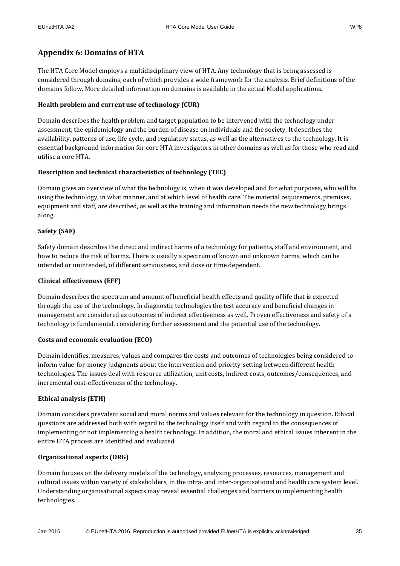### <span id="page-34-0"></span>**Appendix 6: Domains of HTA**

The HTA Core Model employs a multidisciplinary view of HTA. Any technology that is being assessed is considered through domains, each of which provides a wide framework for the analysis. Brief definitions of the domains follow. More detailed information on domains is available in the actual Model applications.

### **Health problem and current use of technology (CUR)**

Domain describes the health problem and target population to be intervened with the technology under assessment; the epidemiology and the burden of disease on individuals and the society. It describes the availability, patterns of use, life cycle, and regulatory status, as well as the alternatives to the technology. It is essential background information for core HTA investigators in other domains as well as for those who read and utilise a core HTA.

### **Description and technical characteristics of technology (TEC)**

Domain gives an overview of what the technology is, when it was developed and for what purposes, who will be using the technology, in what manner, and at which level of health care. The material requirements, premises, equipment and staff, are described, as well as the training and information needs the new technology brings along.

### **Safety (SAF)**

Safety domain describes the direct and indirect harms of a technology for patients, staff and environment, and how to reduce the risk of harms. There is usually a spectrum of known and unknown harms, which can be intended or unintended, of different seriousness, and dose or time dependent.

### **Clinical effectiveness (EFF)**

Domain describes the spectrum and amount of beneficial health effects and quality of life that is expected through the use of the technology. In diagnostic technologies the test accuracy and beneficial changes in management are considered as outcomes of indirect effectiveness as well. Proven effectiveness and safety of a technology is fundamental, considering further assessment and the potential use of the technology.

### **Costs and economic evaluation (ECO)**

Domain identifies, measures, values and compares the costs and outcomes of technologies being considered to inform value-for-money judgments about the intervention and priority-setting between different health technologies. The issues deal with resource utilization, unit costs, indirect costs, outcomes/consequences, and incremental cost-effectiveness of the technology.

### **Ethical analysis (ETH)**

Domain considers prevalent social and moral norms and values relevant for the technology in question. Ethical questions are addressed both with regard to the technology itself and with regard to the consequences of implementing or not implementing a health technology. In addition, the moral and ethical issues inherent in the entire HTA process are identified and evaluated.

### **Organisational aspects (ORG)**

Domain focuses on the delivery models of the technology, analysing processes, resources, management and cultural issues within variety of stakeholders, in the intra- and inter-organisational and health care system level. Understanding organisational aspects may reveal essential challenges and barriers in implementing health technologies.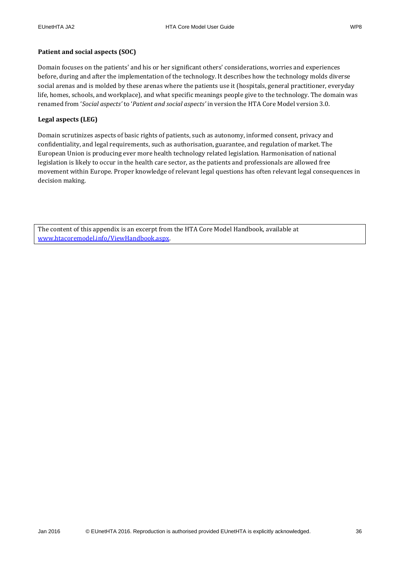#### **Patient and social aspects (SOC)**

Domain focuses on the patients' and his or her significant others' considerations, worries and experiences before, during and after the implementation of the technology. It describes how the technology molds diverse social arenas and is molded by these arenas where the patients use it (hospitals, general practitioner, everyday life, homes, schools, and workplace), and what specific meanings people give to the technology. The domain was renamed from '*Social aspects'* to '*Patient and social aspects'* in version the HTA Core Model version 3.0.

#### **Legal aspects (LEG)**

Domain scrutinizes aspects of basic rights of patients, such as autonomy, informed consent, privacy and confidentiality, and legal requirements, such as authorisation, guarantee, and regulation of market. The European Union is producing ever more health technology related legislation. Harmonisation of national legislation is likely to occur in the health care sector, as the patients and professionals are allowed free movement within Europe. Proper knowledge of relevant legal questions has often relevant legal consequences in decision making.

The content of this appendix is an excerpt from the HTA Core Model Handbook, available at [www.htacoremodel.info/ViewHandbook.aspx.](http://www.htacoremodel.info/ViewHandbook.aspx)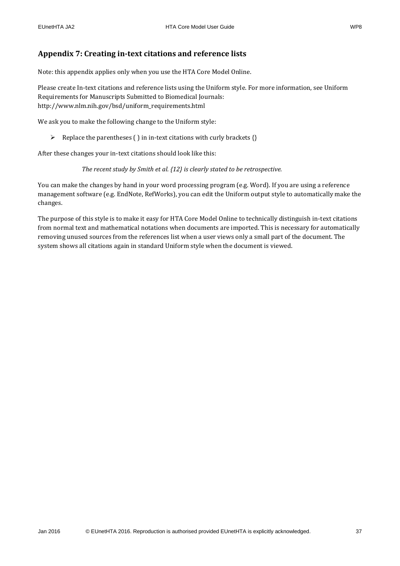### <span id="page-36-0"></span>**Appendix 7: Creating in-text citations and reference lists**

Note: this appendix applies only when you use the HTA Core Model Online.

Please create In-text citations and reference lists using the Uniform style. For more information, see Uniform Requirements for Manuscripts Submitted to Biomedical Journals: http://www.nlm.nih.gov/bsd/uniform\_requirements.html

We ask you to make the following change to the Uniform style:

 $\triangleright$  Replace the parentheses ( ) in in-text citations with curly brackets {}

After these changes your in-text citations should look like this:

*The recent study by Smith et al. {12} is clearly stated to be retrospective.*

You can make the changes by hand in your word processing program (e.g. Word). If you are using a reference management software (e.g. EndNote, RefWorks), you can edit the Uniform output style to automatically make the changes.

The purpose of this style is to make it easy for HTA Core Model Online to technically distinguish in-text citations from normal text and mathematical notations when documents are imported. This is necessary for automatically removing unused sources from the references list when a user views only a small part of the document. The system shows all citations again in standard Uniform style when the document is viewed.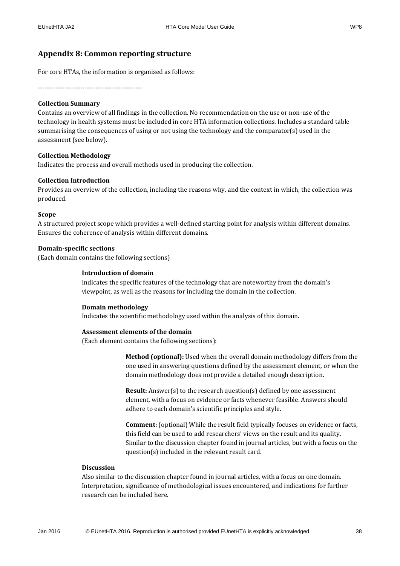### <span id="page-37-0"></span>**Appendix 8: Common reporting structure**

For core HTAs, the information is organised as follows:

-----------------------------------------------

#### **Collection Summary**

Contains an overview of all findings in the collection. No recommendation on the use or non-use of the technology in health systems must be included in core HTA information collections. Includes a standard table summarising the consequences of using or not using the technology and the comparator(s) used in the assessment (see below).

#### **Collection Methodology**

Indicates the process and overall methods used in producing the collection.

#### **Collection Introduction**

Provides an overview of the collection, including the reasons why, and the context in which, the collection was produced.

#### **Scope**

A structured project scope which provides a well-defined starting point for analysis within different domains. Ensures the coherence of analysis within different domains.

#### **Domain-specific sections**

(Each domain contains the following sections)

#### **Introduction of domain**

Indicates the specific features of the technology that are noteworthy from the domain's viewpoint, as well as the reasons for including the domain in the collection.

#### **Domain methodology**

Indicates the scientific methodology used within the analysis of this domain.

#### **Assessment elements of the domain**

(Each element contains the following sections):

**Method (optional):** Used when the overall domain methodology differs from the one used in answering questions defined by the assessment element, or when the domain methodology does not provide a detailed enough description.

**Result:** Answer(s) to the research question(s) defined by one assessment element, with a focus on evidence or facts whenever feasible. Answers should adhere to each domain's scientific principles and style.

**Comment:** (optional) While the result field typically focuses on evidence or facts, this field can be used to add researchers' views on the result and its quality. Similar to the discussion chapter found in journal articles, but with a focus on the question(s) included in the relevant result card.

#### **Discussion**

Also similar to the discussion chapter found in journal articles, with a focus on one domain. Interpretation, significance of methodological issues encountered, and indications for further research can be included here.